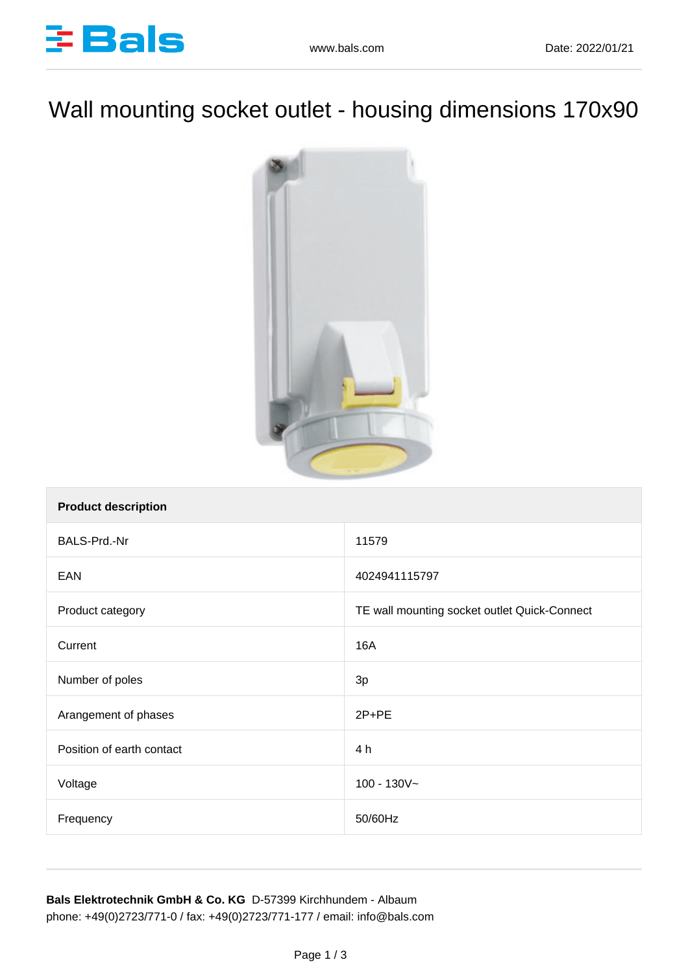

## Wall mounting socket outlet - housing dimensions 170x90



| <b>Product description</b> |                                              |
|----------------------------|----------------------------------------------|
| BALS-Prd.-Nr               | 11579                                        |
| EAN                        | 4024941115797                                |
| Product category           | TE wall mounting socket outlet Quick-Connect |
| Current                    | <b>16A</b>                                   |
| Number of poles            | 3p                                           |
| Arangement of phases       | $2P+PE$                                      |
| Position of earth contact  | 4 h                                          |
| Voltage                    | $100 - 130V -$                               |
| Frequency                  | 50/60Hz                                      |

**Bals Elektrotechnik GmbH & Co. KG** D-57399 Kirchhundem - Albaum phone: +49(0)2723/771-0 / fax: +49(0)2723/771-177 / email: info@bals.com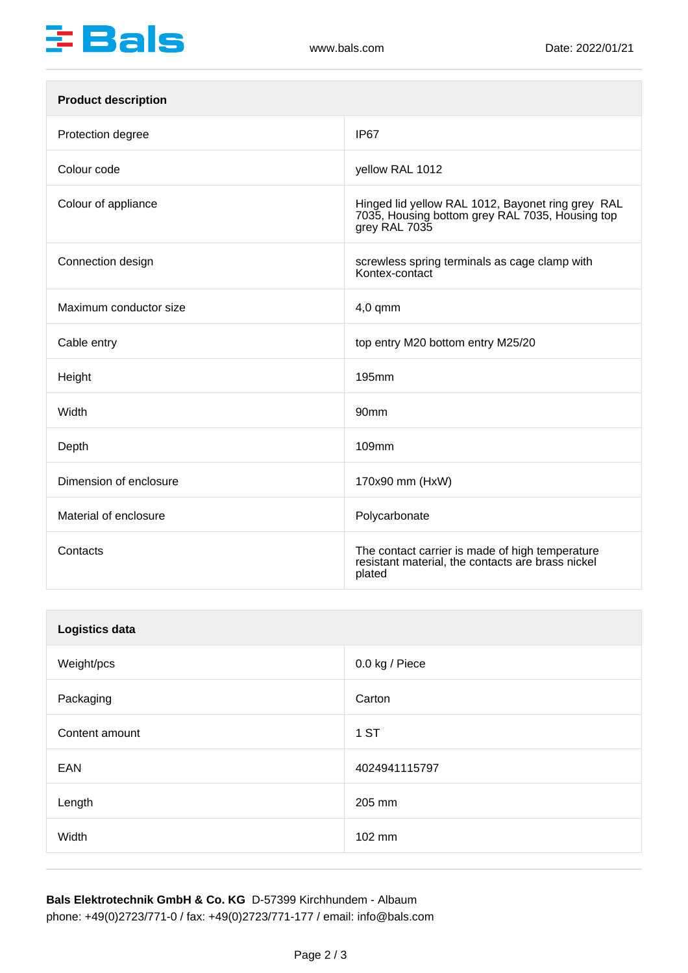

| <b>Product description</b> |                                                                                                                       |
|----------------------------|-----------------------------------------------------------------------------------------------------------------------|
| Protection degree          | IP <sub>67</sub>                                                                                                      |
| Colour code                | yellow RAL 1012                                                                                                       |
| Colour of appliance        | Hinged lid yellow RAL 1012, Bayonet ring grey RAL<br>7035, Housing bottom grey RAL 7035, Housing top<br>grey RAL 7035 |
| Connection design          | screwless spring terminals as cage clamp with<br>Kontex-contact                                                       |
| Maximum conductor size     | $4,0$ qmm                                                                                                             |
| Cable entry                | top entry M20 bottom entry M25/20                                                                                     |
| Height                     | 195mm                                                                                                                 |
| Width                      | 90mm                                                                                                                  |
| Depth                      | 109mm                                                                                                                 |
| Dimension of enclosure     | 170x90 mm (HxW)                                                                                                       |
| Material of enclosure      | Polycarbonate                                                                                                         |
| Contacts                   | The contact carrier is made of high temperature<br>resistant material, the contacts are brass nickel<br>plated        |

| Logistics data |                |
|----------------|----------------|
| Weight/pcs     | 0.0 kg / Piece |
| Packaging      | Carton         |
| Content amount | 1 ST           |
| EAN            | 4024941115797  |
| Length         | 205 mm         |
| Width          | 102 mm         |

**Bals Elektrotechnik GmbH & Co. KG** D-57399 Kirchhundem - Albaum phone: +49(0)2723/771-0 / fax: +49(0)2723/771-177 / email: info@bals.com